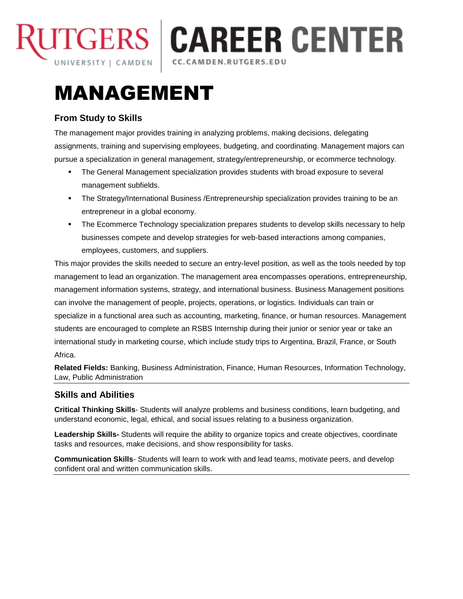

**TGERS | CAREER CENTER** 

### | CC.CAMDEN.RUTGERS.EDU

# MANAGEMENT

## **From Study to Skills**

The management major provides training in analyzing problems, making decisions, delegating assignments, training and supervising employees, budgeting, and coordinating. Management majors can pursue a specialization in general management, strategy/entrepreneurship, or ecommerce technology.

- The General Management specialization provides students with broad exposure to several management subfields.
- The Strategy/International Business /Entrepreneurship specialization provides training to be an entrepreneur in a global economy.
- The Ecommerce Technology specialization prepares students to develop skills necessary to help businesses compete and develop strategies for web-based interactions among companies, employees, customers, and suppliers.

This major provides the skills needed to secure an entry-level position, as well as the tools needed by top management to lead an organization. The management area encompasses operations, entrepreneurship, management information systems, strategy, and international business. Business Management positions can involve the management of people, projects, operations, or logistics. Individuals can train or specialize in a functional area such as accounting, marketing, finance, or human resources. Management students are encouraged to complete an RSBS Internship during their junior or senior year or take an international study in marketing course, which include study trips to Argentina, Brazil, France, or South Africa.

**Related Fields:** Banking, Business Administration, Finance, Human Resources, Information Technology, Law, Public Administration

# **Skills and Abilities**

**Critical Thinking Skills**- Students will analyze problems and business conditions, learn budgeting, and understand economic, legal, ethical, and social issues relating to a business organization.

**Leadership Skills-** Students will require the ability to organize topics and create objectives, coordinate tasks and resources, make decisions, and show responsibility for tasks.

**Communication Skills**- Students will learn to work with and lead teams, motivate peers, and develop confident oral and written communication skills.